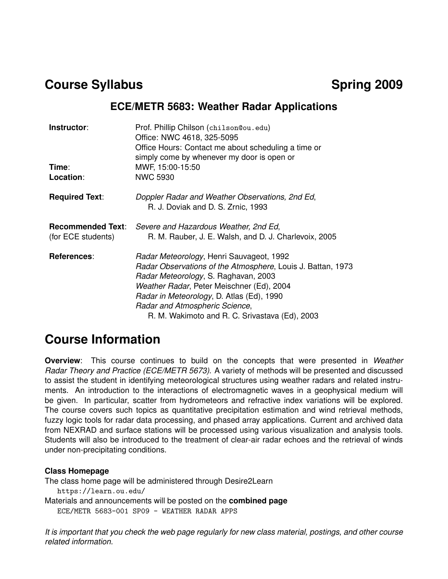### **Course Syllabus Course 3009**

### **ECE/METR 5683: Weather Radar Applications**

| Instructor:                                    | Prof. Phillip Chilson (chilson@ou.edu)<br>Office: NWC 4618, 325-5095<br>Office Hours: Contact me about scheduling a time or<br>simply come by whenever my door is open or                                                                                                                                                     |
|------------------------------------------------|-------------------------------------------------------------------------------------------------------------------------------------------------------------------------------------------------------------------------------------------------------------------------------------------------------------------------------|
| Time:                                          | MWF, 15:00-15:50                                                                                                                                                                                                                                                                                                              |
| Location:                                      | <b>NWC 5930</b>                                                                                                                                                                                                                                                                                                               |
| <b>Required Text:</b>                          | Doppler Radar and Weather Observations, 2nd Ed,<br>R. J. Doviak and D. S. Zrnic, 1993                                                                                                                                                                                                                                         |
| <b>Recommended Text:</b><br>(for ECE students) | Severe and Hazardous Weather, 2nd Ed,<br>R. M. Rauber, J. E. Walsh, and D. J. Charlevoix, 2005                                                                                                                                                                                                                                |
| References:                                    | Radar Meteorology, Henri Sauvageot, 1992<br>Radar Observations of the Atmosphere, Louis J. Battan, 1973<br>Radar Meteorology, S. Raghavan, 2003<br>Weather Radar, Peter Meischner (Ed), 2004<br>Radar in Meteorology, D. Atlas (Ed), 1990<br>Radar and Atmospheric Science,<br>R. M. Wakimoto and R. C. Srivastava (Ed), 2003 |

### **Course Information**

**Overview**: This course continues to build on the concepts that were presented in *Weather Radar Theory and Practice (ECE/METR 5673)*. A variety of methods will be presented and discussed to assist the student in identifying meteorological structures using weather radars and related instruments. An introduction to the interactions of electromagnetic waves in a geophysical medium will be given. In particular, scatter from hydrometeors and refractive index variations will be explored. The course covers such topics as quantitative precipitation estimation and wind retrieval methods, fuzzy logic tools for radar data processing, and phased array applications. Current and archived data from NEXRAD and surface stations will be processed using various visualization and analysis tools. Students will also be introduced to the treatment of clear-air radar echoes and the retrieval of winds under non-precipitating conditions.

### **Class Homepage**

The class home page will be administered through Desire2Learn https://learn.ou.edu/ Materials and announcements will be posted on the **combined page** ECE/METR 5683-001 SP09 - WEATHER RADAR APPS

*It is important that you check the web page regularly for new class material, postings, and other course related information.*